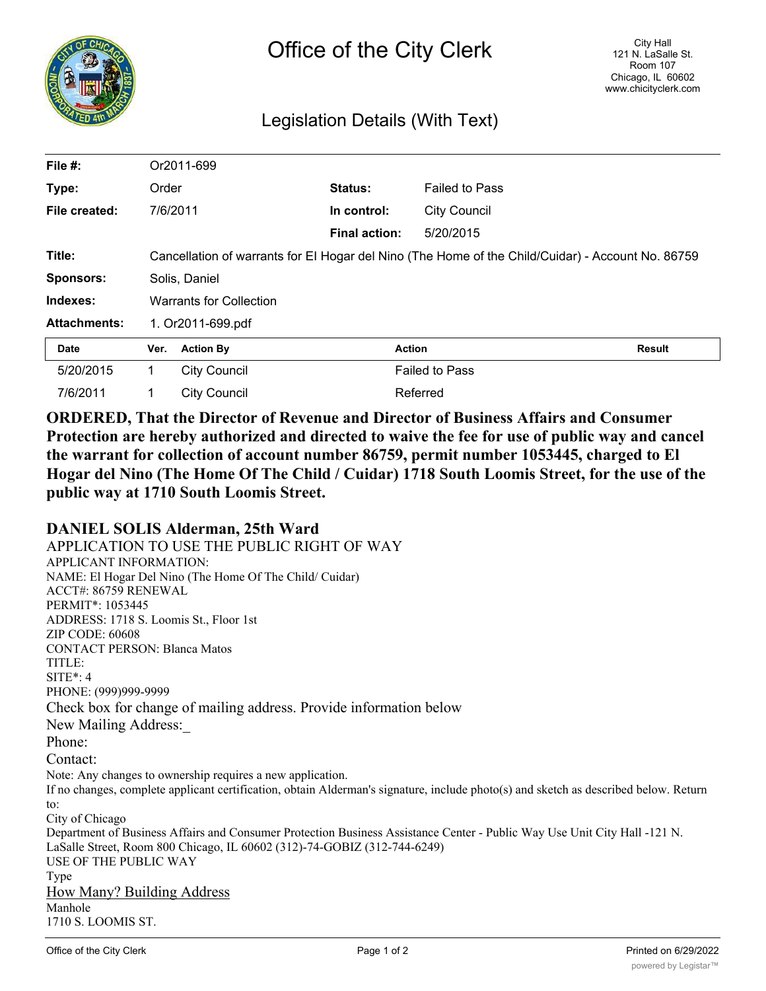

## Legislation Details (With Text)

| File $#$ :          | Or2011-699                                                                                        |                     |                      |                       |        |
|---------------------|---------------------------------------------------------------------------------------------------|---------------------|----------------------|-----------------------|--------|
| Type:               | Order                                                                                             |                     | Status:              | <b>Failed to Pass</b> |        |
| File created:       | 7/6/2011                                                                                          |                     | In control:          | <b>City Council</b>   |        |
|                     |                                                                                                   |                     | <b>Final action:</b> | 5/20/2015             |        |
| Title:              | Cancellation of warrants for EI Hogar del Nino (The Home of the Child/Cuidar) - Account No. 86759 |                     |                      |                       |        |
| <b>Sponsors:</b>    | Solis, Daniel                                                                                     |                     |                      |                       |        |
| Indexes:            | <b>Warrants for Collection</b>                                                                    |                     |                      |                       |        |
| <b>Attachments:</b> | 1. Or2011-699.pdf                                                                                 |                     |                      |                       |        |
| <b>Date</b>         | Ver.                                                                                              | <b>Action By</b>    |                      | Action                | Result |
| 5/20/2015           | 1                                                                                                 | <b>City Council</b> |                      | <b>Failed to Pass</b> |        |
| 7/6/2011            |                                                                                                   | <b>City Council</b> |                      | Referred              |        |

**ORDERED, That the Director of Revenue and Director of Business Affairs and Consumer Protection are hereby authorized and directed to waive the fee for use of public way and cancel the warrant for collection of account number 86759, permit number 1053445, charged to El Hogar del Nino (The Home Of The Child / Cuidar) 1718 South Loomis Street, for the use of the public way at 1710 South Loomis Street.**

## **DANIEL SOLIS Alderman, 25th Ward**

APPLICATION TO USE THE PUBLIC RIGHT OF WAY APPLICANT INFORMATION: NAME: El Hogar Del Nino (The Home Of The Child/ Cuidar) ACCT#: 86759 RENEWAL PERMIT\*: 1053445 ADDRESS: 1718 S. Loomis St., Floor 1st ZIP CODE: 60608 CONTACT PERSON: Blanca Matos TITLE: SITE\*: 4 PHONE: (999)999-9999 Check box for change of mailing address. Provide information below New Mailing Address: Phone: Contact: Note: Any changes to ownership requires a new application. If no changes, complete applicant certification, obtain Alderman's signature, include photo(s) and sketch as described below. Return to: City of Chicago Department of Business Affairs and Consumer Protection Business Assistance Center - Public Way Use Unit City Hall -121 N. LaSalle Street, Room 800 Chicago, IL 60602 (312)-74-GOBIZ (312-744-6249) USE OF THE PUBLIC WAY Type How Many? Building Address Manhole 1710 S. LOOMIS ST.